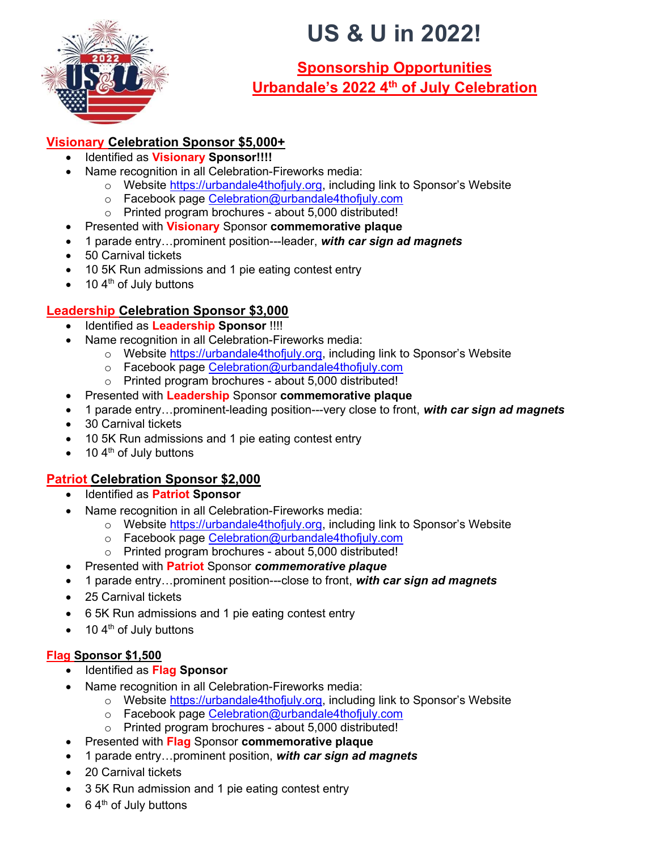

# US & U in 2022!

# Sponsorship Opportunities Urbandale's 2022 4th of July Celebration

## Visionary Celebration Sponsor \$5,000+

- Identified as Visionary Sponsor!!!!
- Name recognition in all Celebration-Fireworks media:
	- $\circ$  Website https://urbandale4thofjuly.org, including link to Sponsor's Website
	- o Facebook page Celebration@urbandale4thofjuly.com
	- o Printed program brochures about 5,000 distributed!
- Presented with **Visionary** Sponsor commemorative plaque
- 1 parade entry...prominent position---leader, with car sign ad magnets
- 50 Carnival tickets
- 10 5K Run admissions and 1 pie eating contest entry
- $\bullet$  10 4<sup>th</sup> of July buttons

## Leadership Celebration Sponsor \$3,000

- Identified as Leadership Sponsor !!!!
- Name recognition in all Celebration-Fireworks media:
	- $\circ$  Website https://urbandale4thofjuly.org, including link to Sponsor's Website
	- o Facebook page Celebration@urbandale4thofjuly.com
	- o Printed program brochures about 5,000 distributed!
- Presented with Leadership Sponsor commemorative plaque
- 1 parade entry...prominent-leading position---very close to front, with car sign ad magnets
- 30 Carnival tickets
- 10 5K Run admissions and 1 pie eating contest entry
- $\bullet$  10 4<sup>th</sup> of July buttons

## Patriot Celebration Sponsor \$2,000

- Identified as **Patriot Sponsor**
- Name recognition in all Celebration-Fireworks media:
	- o Website https://urbandale4thofjuly.org, including link to Sponsor's Website
	- o Facebook page Celebration@urbandale4thofjuly.com
	- o Printed program brochures about 5,000 distributed!
- Presented with **Patriot** Sponsor *commemorative plaque*
- 1 parade entry...prominent position---close to front, with car sign ad magnets
- 25 Carnival tickets
- 6 5K Run admissions and 1 pie eating contest entry
- $\bullet$  10 4<sup>th</sup> of July buttons

## Flag Sponsor \$1,500

- Identified as Flag Sponsor
- Name recognition in all Celebration-Fireworks media:
	- $\circ$  Website https://urbandale4thofjuly.org, including link to Sponsor's Website
	- o Facebook page Celebration@urbandale4thofjuly.com
	- o Printed program brochures about 5,000 distributed!
- Presented with Flag Sponsor commemorative plaque
- 1 parade entry...prominent position, with car sign ad magnets
- 20 Carnival tickets
- 3 5K Run admission and 1 pie eating contest entry
- $\bullet$  6.4<sup>th</sup> of July buttons